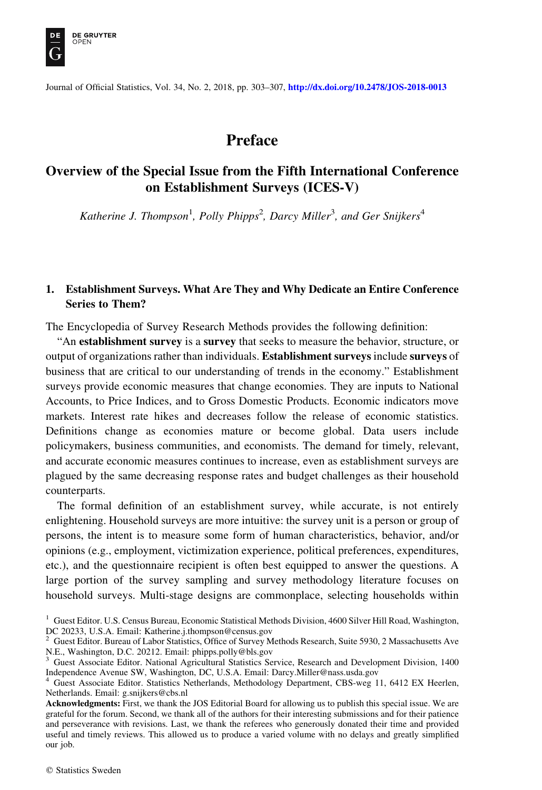

Journal of Official Statistics, Vol. 34, No. 2, 2018, pp. 303–307, <http://dx.doi.org/10.2478/JOS-2018-0013>

# Preface

## Overview of the Special Issue from the Fifth International Conference on Establishment Surveys (ICES-V)

Katherine J. Thompson<sup>1</sup>, Polly Phipps<sup>2</sup>, Darcy Miller<sup>3</sup>, and Ger Snijkers<sup>4</sup>

### 1. Establishment Surveys. What Are They and Why Dedicate an Entire Conference Series to Them?

The Encyclopedia of Survey Research Methods provides the following definition:

"An establishment survey is a survey that seeks to measure the behavior, structure, or output of organizations rather than individuals. Establishment surveys include surveys of business that are critical to our understanding of trends in the economy." Establishment surveys provide economic measures that change economies. They are inputs to National Accounts, to Price Indices, and to Gross Domestic Products. Economic indicators move markets. Interest rate hikes and decreases follow the release of economic statistics. Definitions change as economies mature or become global. Data users include policymakers, business communities, and economists. The demand for timely, relevant, and accurate economic measures continues to increase, even as establishment surveys are plagued by the same decreasing response rates and budget challenges as their household counterparts.

The formal definition of an establishment survey, while accurate, is not entirely enlightening. Household surveys are more intuitive: the survey unit is a person or group of persons, the intent is to measure some form of human characteristics, behavior, and/or opinions (e.g., employment, victimization experience, political preferences, expenditures, etc.), and the questionnaire recipient is often best equipped to answer the questions. A large portion of the survey sampling and survey methodology literature focuses on household surveys. Multi-stage designs are commonplace, selecting households within

<sup>&</sup>lt;sup>1</sup> Guest Editor. U.S. Census Bureau, Economic Statistical Methods Division, 4600 Silver Hill Road, Washington, DC 20233, U.S.A. Email: Katherine.j.thompson@census.gov

<sup>2</sup> Guest Editor. Bureau of Labor Statistics, Office of Survey Methods Research, Suite 5930, 2 Massachusetts Ave N.E., Washington, D.C. 20212. Email: phipps.polly@bls.gov

<sup>&</sup>lt;sup>3</sup> Guest Associate Editor. National Agricultural Statistics Service, Research and Development Division, 1400 Independence Avenue SW, Washington, DC, U.S.A. Email: Darcy.Miller@nass.usda.gov

<sup>4</sup> Guest Associate Editor. Statistics Netherlands, Methodology Department, CBS-weg 11, 6412 EX Heerlen, Netherlands. Email: g.snijkers@cbs.nl

Acknowledgments: First, we thank the JOS Editorial Board for allowing us to publish this special issue. We are grateful for the forum. Second, we thank all of the authors for their interesting submissions and for their patience and perseverance with revisions. Last, we thank the referees who generously donated their time and provided useful and timely reviews. This allowed us to produce a varied volume with no delays and greatly simplified our job.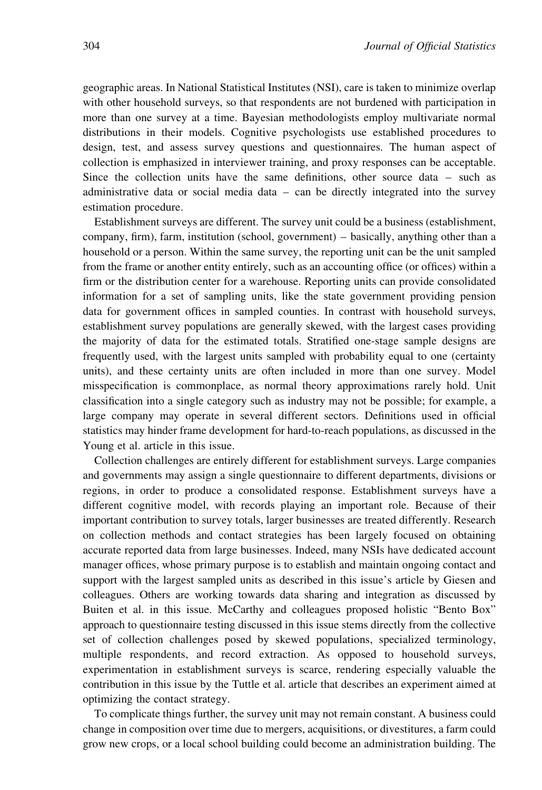geographic areas. In National Statistical Institutes (NSI), care is taken to minimize overlap with other household surveys, so that respondents are not burdened with participation in more than one survey at a time. Bayesian methodologists employ multivariate normal distributions in their models. Cognitive psychologists use established procedures to design, test, and assess survey questions and questionnaires. The human aspect of collection is emphasized in interviewer training, and proxy responses can be acceptable. Since the collection units have the same definitions, other source data – such as administrative data or social media data – can be directly integrated into the survey estimation procedure.

Establishment surveys are different. The survey unit could be a business (establishment, company, firm), farm, institution (school, government) – basically, anything other than a household or a person. Within the same survey, the reporting unit can be the unit sampled from the frame or another entity entirely, such as an accounting office (or offices) within a firm or the distribution center for a warehouse. Reporting units can provide consolidated information for a set of sampling units, like the state government providing pension data for government offices in sampled counties. In contrast with household surveys, establishment survey populations are generally skewed, with the largest cases providing the majority of data for the estimated totals. Stratified one-stage sample designs are frequently used, with the largest units sampled with probability equal to one (certainty units), and these certainty units are often included in more than one survey. Model misspecification is commonplace, as normal theory approximations rarely hold. Unit classification into a single category such as industry may not be possible; for example, a large company may operate in several different sectors. Definitions used in official statistics may hinder frame development for hard-to-reach populations, as discussed in the Young et al. article in this issue.

Collection challenges are entirely different for establishment surveys. Large companies and governments may assign a single questionnaire to different departments, divisions or regions, in order to produce a consolidated response. Establishment surveys have a different cognitive model, with records playing an important role. Because of their important contribution to survey totals, larger businesses are treated differently. Research on collection methods and contact strategies has been largely focused on obtaining accurate reported data from large businesses. Indeed, many NSIs have dedicated account manager offices, whose primary purpose is to establish and maintain ongoing contact and support with the largest sampled units as described in this issue's article by Giesen and colleagues. Others are working towards data sharing and integration as discussed by Buiten et al. in this issue. McCarthy and colleagues proposed holistic "Bento Box" approach to questionnaire testing discussed in this issue stems directly from the collective set of collection challenges posed by skewed populations, specialized terminology, multiple respondents, and record extraction. As opposed to household surveys, experimentation in establishment surveys is scarce, rendering especially valuable the contribution in this issue by the Tuttle et al. article that describes an experiment aimed at optimizing the contact strategy.

To complicate things further, the survey unit may not remain constant. A business could change in composition over time due to mergers, acquisitions, or divestitures, a farm could grow new crops, or a local school building could become an administration building. The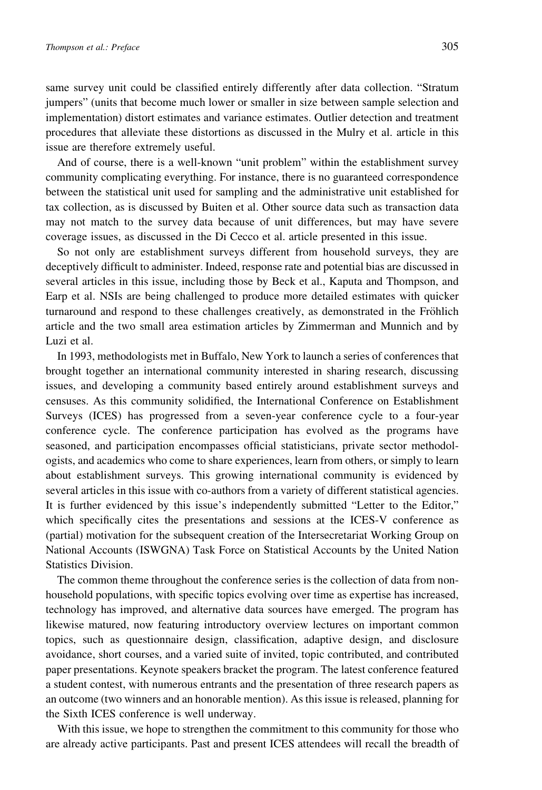same survey unit could be classified entirely differently after data collection. "Stratum jumpers" (units that become much lower or smaller in size between sample selection and implementation) distort estimates and variance estimates. Outlier detection and treatment procedures that alleviate these distortions as discussed in the Mulry et al. article in this issue are therefore extremely useful.

And of course, there is a well-known "unit problem" within the establishment survey community complicating everything. For instance, there is no guaranteed correspondence between the statistical unit used for sampling and the administrative unit established for tax collection, as is discussed by Buiten et al. Other source data such as transaction data may not match to the survey data because of unit differences, but may have severe coverage issues, as discussed in the Di Cecco et al. article presented in this issue.

So not only are establishment surveys different from household surveys, they are deceptively difficult to administer. Indeed, response rate and potential bias are discussed in several articles in this issue, including those by Beck et al., Kaputa and Thompson, and Earp et al. NSIs are being challenged to produce more detailed estimates with quicker turnaround and respond to these challenges creatively, as demonstrated in the Fröhlich article and the two small area estimation articles by Zimmerman and Munnich and by Luzi et al.

In 1993, methodologists met in Buffalo, New York to launch a series of conferences that brought together an international community interested in sharing research, discussing issues, and developing a community based entirely around establishment surveys and censuses. As this community solidified, the International Conference on Establishment Surveys (ICES) has progressed from a seven-year conference cycle to a four-year conference cycle. The conference participation has evolved as the programs have seasoned, and participation encompasses official statisticians, private sector methodologists, and academics who come to share experiences, learn from others, or simply to learn about establishment surveys. This growing international community is evidenced by several articles in this issue with co-authors from a variety of different statistical agencies. It is further evidenced by this issue's independently submitted "Letter to the Editor," which specifically cites the presentations and sessions at the ICES-V conference as (partial) motivation for the subsequent creation of the Intersecretariat Working Group on National Accounts (ISWGNA) Task Force on Statistical Accounts by the United Nation Statistics Division.

The common theme throughout the conference series is the collection of data from nonhousehold populations, with specific topics evolving over time as expertise has increased, technology has improved, and alternative data sources have emerged. The program has likewise matured, now featuring introductory overview lectures on important common topics, such as questionnaire design, classification, adaptive design, and disclosure avoidance, short courses, and a varied suite of invited, topic contributed, and contributed paper presentations. Keynote speakers bracket the program. The latest conference featured a student contest, with numerous entrants and the presentation of three research papers as an outcome (two winners and an honorable mention). As this issue is released, planning for the Sixth ICES conference is well underway.

With this issue, we hope to strengthen the commitment to this community for those who are already active participants. Past and present ICES attendees will recall the breadth of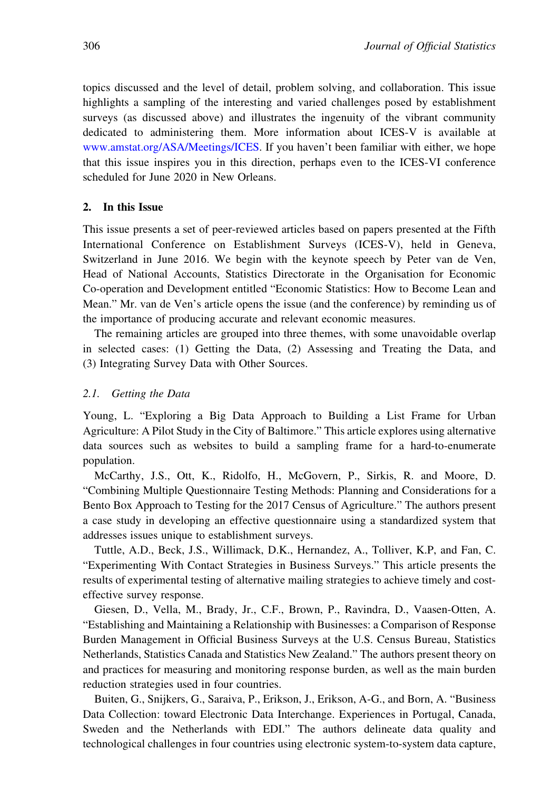topics discussed and the level of detail, problem solving, and collaboration. This issue highlights a sampling of the interesting and varied challenges posed by establishment surveys (as discussed above) and illustrates the ingenuity of the vibrant community dedicated to administering them. More information about ICES-V is available at [www.amstat.org/ASA/Meetings/ICES](http://www.amstat.org/ASA/Meetings/ICES). If you haven't been familiar with either, we hope that this issue inspires you in this direction, perhaps even to the ICES-VI conference scheduled for June 2020 in New Orleans.

### 2. In this Issue

This issue presents a set of peer-reviewed articles based on papers presented at the Fifth International Conference on Establishment Surveys (ICES-V), held in Geneva, Switzerland in June 2016. We begin with the keynote speech by Peter van de Ven, Head of National Accounts, Statistics Directorate in the Organisation for Economic Co-operation and Development entitled "Economic Statistics: How to Become Lean and Mean." Mr. van de Ven's article opens the issue (and the conference) by reminding us of the importance of producing accurate and relevant economic measures.

The remaining articles are grouped into three themes, with some unavoidable overlap in selected cases: (1) Getting the Data, (2) Assessing and Treating the Data, and (3) Integrating Survey Data with Other Sources.

### 2.1. Getting the Data

Young, L. "Exploring a Big Data Approach to Building a List Frame for Urban Agriculture: A Pilot Study in the City of Baltimore." This article explores using alternative data sources such as websites to build a sampling frame for a hard-to-enumerate population.

McCarthy, J.S., Ott, K., Ridolfo, H., McGovern, P., Sirkis, R. and Moore, D. "Combining Multiple Questionnaire Testing Methods: Planning and Considerations for a Bento Box Approach to Testing for the 2017 Census of Agriculture." The authors present a case study in developing an effective questionnaire using a standardized system that addresses issues unique to establishment surveys.

Tuttle, A.D., Beck, J.S., Willimack, D.K., Hernandez, A., Tolliver, K.P, and Fan, C. "Experimenting With Contact Strategies in Business Surveys." This article presents the results of experimental testing of alternative mailing strategies to achieve timely and costeffective survey response.

Giesen, D., Vella, M., Brady, Jr., C.F., Brown, P., Ravindra, D., Vaasen-Otten, A. "Establishing and Maintaining a Relationship with Businesses: a Comparison of Response Burden Management in Official Business Surveys at the U.S. Census Bureau, Statistics Netherlands, Statistics Canada and Statistics New Zealand." The authors present theory on and practices for measuring and monitoring response burden, as well as the main burden reduction strategies used in four countries.

Buiten, G., Snijkers, G., Saraiva, P., Erikson, J., Erikson, A-G., and Born, A. "Business Data Collection: toward Electronic Data Interchange. Experiences in Portugal, Canada, Sweden and the Netherlands with EDI." The authors delineate data quality and technological challenges in four countries using electronic system-to-system data capture,